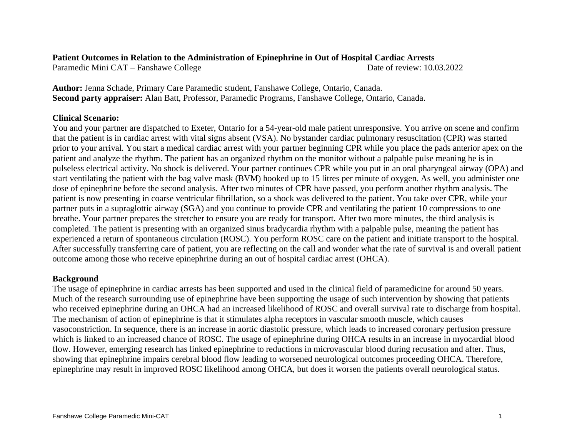### **Patient Outcomes in Relation to the Administration of Epinephrine in Out of Hospital Cardiac Arrests**

Paramedic Mini CAT – Fanshawe College Date of review: 10.03.2022

**Author:** Jenna Schade, Primary Care Paramedic student, Fanshawe College, Ontario, Canada. **Second party appraiser:** Alan Batt, Professor, Paramedic Programs, Fanshawe College, Ontario, Canada.

# **Clinical Scenario:**

You and your partner are dispatched to Exeter, Ontario for a 54-year-old male patient unresponsive. You arrive on scene and confirm that the patient is in cardiac arrest with vital signs absent (VSA). No bystander cardiac pulmonary resuscitation (CPR) was started prior to your arrival. You start a medical cardiac arrest with your partner beginning CPR while you place the pads anterior apex on the patient and analyze the rhythm. The patient has an organized rhythm on the monitor without a palpable pulse meaning he is in pulseless electrical activity. No shock is delivered. Your partner continues CPR while you put in an oral pharyngeal airway (OPA) and start ventilating the patient with the bag valve mask (BVM) hooked up to 15 litres per minute of oxygen. As well, you administer one dose of epinephrine before the second analysis. After two minutes of CPR have passed, you perform another rhythm analysis. The patient is now presenting in coarse ventricular fibrillation, so a shock was delivered to the patient. You take over CPR, while your partner puts in a supraglottic airway (SGA) and you continue to provide CPR and ventilating the patient 10 compressions to one breathe. Your partner prepares the stretcher to ensure you are ready for transport. After two more minutes, the third analysis is completed. The patient is presenting with an organized sinus bradycardia rhythm with a palpable pulse, meaning the patient has experienced a return of spontaneous circulation (ROSC). You perform ROSC care on the patient and initiate transport to the hospital. After successfully transferring care of patient, you are reflecting on the call and wonder what the rate of survival is and overall patient outcome among those who receive epinephrine during an out of hospital cardiac arrest (OHCA).

# **Background**

The usage of epinephrine in cardiac arrests has been supported and used in the clinical field of paramedicine for around 50 years. Much of the research surrounding use of epinephrine have been supporting the usage of such intervention by showing that patients who received epinephrine during an OHCA had an increased likelihood of ROSC and overall survival rate to discharge from hospital. The mechanism of action of epinephrine is that it stimulates alpha receptors in vascular smooth muscle, which causes vasoconstriction. In sequence, there is an increase in aortic diastolic pressure, which leads to increased coronary perfusion pressure which is linked to an increased chance of ROSC. The usage of epinephrine during OHCA results in an increase in myocardial blood flow. However, emerging research has linked epinephrine to reductions in microvascular blood during recusation and after. Thus, showing that epinephrine impairs cerebral blood flow leading to worsened neurological outcomes proceeding OHCA. Therefore, epinephrine may result in improved ROSC likelihood among OHCA, but does it worsen the patients overall neurological status.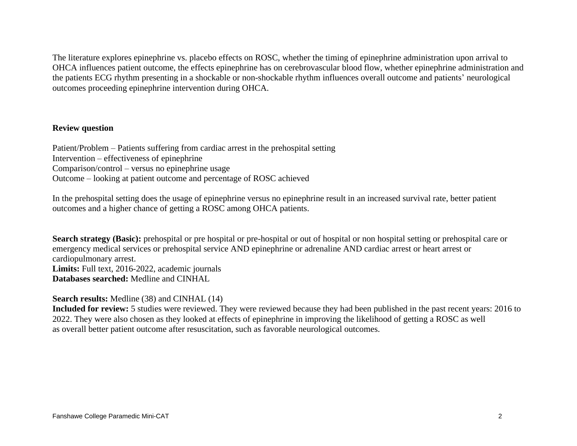The literature explores epinephrine vs. placebo effects on ROSC, whether the timing of epinephrine administration upon arrival to OHCA influences patient outcome, the effects epinephrine has on cerebrovascular blood flow, whether epinephrine administration and the patients ECG rhythm presenting in a shockable or non-shockable rhythm influences overall outcome and patients' neurological outcomes proceeding epinephrine intervention during OHCA.

# **Review question**

Patient/Problem – Patients suffering from cardiac arrest in the prehospital setting Intervention – effectiveness of epinephrine Comparison/control – versus no epinephrine usage Outcome – looking at patient outcome and percentage of ROSC achieved

In the prehospital setting does the usage of epinephrine versus no epinephrine result in an increased survival rate, better patient outcomes and a higher chance of getting a ROSC among OHCA patients.

Search strategy (Basic): prehospital or pre hospital or pre-hospital or out of hospital or non hospital setting or prehospital care or emergency medical services or prehospital service AND epinephrine or adrenaline AND cardiac arrest or heart arrest or cardiopulmonary arrest. **Limits:** Full text, 2016-2022, academic journals **Databases searched:** Medline and CINHAL

**Search results:** Medline (38) and CINHAL (14)

**Included for review:** 5 studies were reviewed. They were reviewed because they had been published in the past recent years: 2016 to 2022. They were also chosen as they looked at effects of epinephrine in improving the likelihood of getting a ROSC as well as overall better patient outcome after resuscitation, such as favorable neurological outcomes.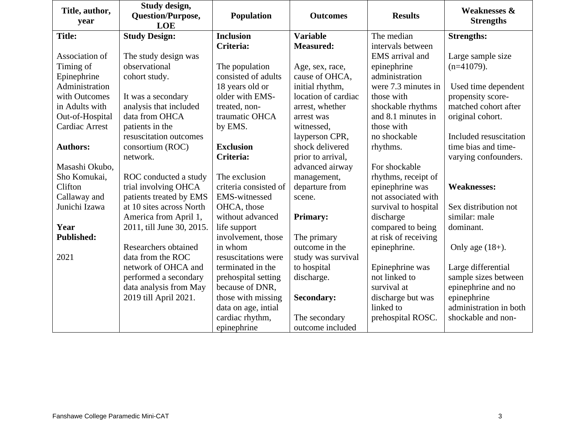| Title, author,<br>year | Study design,<br>Question/Purpose, | Population            | <b>Outcomes</b>     | <b>Results</b>       | <b>Weaknesses &amp;</b><br><b>Strengths</b> |
|------------------------|------------------------------------|-----------------------|---------------------|----------------------|---------------------------------------------|
|                        | <b>LOE</b>                         |                       |                     |                      |                                             |
| <b>Title:</b>          | <b>Study Design:</b>               | <b>Inclusion</b>      | <b>Variable</b>     | The median           | <b>Strengths:</b>                           |
|                        |                                    | Criteria:             | <b>Measured:</b>    | intervals between    |                                             |
| Association of         | The study design was               |                       |                     | EMS arrival and      | Large sample size                           |
| Timing of              | observational                      | The population        | Age, sex, race,     | epinephrine          | $(n=41079)$ .                               |
| Epinephrine            | cohort study.                      | consisted of adults   | cause of OHCA,      | administration       |                                             |
| Administration         |                                    | 18 years old or       | initial rhythm,     | were 7.3 minutes in  | Used time dependent                         |
| with Outcomes          | It was a secondary                 | older with EMS-       | location of cardiac | those with           | propensity score-                           |
| in Adults with         | analysis that included             | treated, non-         | arrest, whether     | shockable rhythms    | matched cohort after                        |
| Out-of-Hospital        | data from OHCA                     | traumatic OHCA        | arrest was          | and 8.1 minutes in   | original cohort.                            |
| <b>Cardiac Arrest</b>  | patients in the                    | by EMS.               | witnessed,          | those with           |                                             |
|                        | resuscitation outcomes             |                       | layperson CPR,      | no shockable         | Included resuscitation                      |
| <b>Authors:</b>        | consortium (ROC)                   | <b>Exclusion</b>      | shock delivered     | rhythms.             | time bias and time-                         |
|                        | network.                           | Criteria:             | prior to arrival,   |                      | varying confounders.                        |
| Masashi Okubo,         |                                    |                       | advanced airway     | For shockable        |                                             |
| Sho Komukai,           | ROC conducted a study              | The exclusion         | management,         | rhythms, receipt of  |                                             |
| Clifton                | trial involving OHCA               | criteria consisted of | departure from      | epinephrine was      | <b>Weaknesses:</b>                          |
| Callaway and           | patients treated by EMS            | <b>EMS-witnessed</b>  | scene.              | not associated with  |                                             |
| Junichi Izawa          | at 10 sites across North           | OHCA, those           |                     | survival to hospital | Sex distribution not                        |
|                        | America from April 1,              | without advanced      | <b>Primary:</b>     | discharge            | similar: male                               |
| Year                   | 2011, till June 30, 2015.          | life support          |                     | compared to being    | dominant.                                   |
| <b>Published:</b>      |                                    | involvement, those    | The primary         | at risk of receiving |                                             |
|                        | Researchers obtained               | in whom               | outcome in the      | epinephrine.         | Only age $(18+)$ .                          |
| 2021                   | data from the ROC                  | resuscitations were   | study was survival  |                      |                                             |
|                        | network of OHCA and                | terminated in the     | to hospital         | Epinephrine was      | Large differential                          |
|                        | performed a secondary              | prehospital setting   | discharge.          | not linked to        | sample sizes between                        |
|                        | data analysis from May             | because of DNR,       |                     | survival at          | epinephrine and no                          |
|                        | 2019 till April 2021.              | those with missing    | <b>Secondary:</b>   | discharge but was    | epinephrine                                 |
|                        |                                    | data on age, intial   |                     | linked to            | administration in both                      |
|                        |                                    | cardiac rhythm,       | The secondary       | prehospital ROSC.    | shockable and non-                          |
|                        |                                    | epinephrine           | outcome included    |                      |                                             |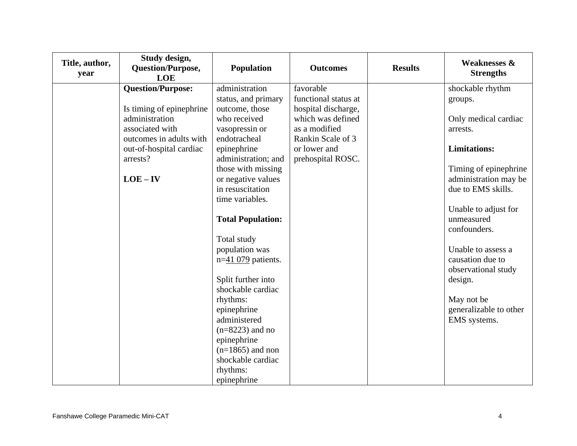| Title, author,<br>year | Study design,<br><b>Question/Purpose,</b><br>LOE | <b>Population</b>                       | <b>Outcomes</b>      | <b>Results</b> | <b>Weaknesses &amp;</b><br><b>Strengths</b> |
|------------------------|--------------------------------------------------|-----------------------------------------|----------------------|----------------|---------------------------------------------|
|                        | <b>Question/Purpose:</b>                         | administration                          | favorable            |                | shockable rhythm                            |
|                        |                                                  | status, and primary                     | functional status at |                | groups.                                     |
|                        | Is timing of epinephrine                         | outcome, those                          | hospital discharge,  |                |                                             |
|                        | administration                                   | who received                            | which was defined    |                | Only medical cardiac                        |
|                        | associated with                                  | vasopressin or                          | as a modified        |                | arrests.                                    |
|                        | outcomes in adults with                          | endotracheal                            | Rankin Scale of 3    |                |                                             |
|                        | out-of-hospital cardiac                          | epinephrine                             | or lower and         |                | <b>Limitations:</b>                         |
|                        | arrests?                                         | administration; and                     | prehospital ROSC.    |                |                                             |
|                        |                                                  | those with missing                      |                      |                | Timing of epinephrine                       |
|                        | $LOE - IV$                                       | or negative values                      |                      |                | administration may be                       |
|                        |                                                  | in resuscitation                        |                      |                | due to EMS skills.                          |
|                        |                                                  | time variables.                         |                      |                |                                             |
|                        |                                                  |                                         |                      |                | Unable to adjust for                        |
|                        |                                                  | <b>Total Population:</b>                |                      |                | unmeasured                                  |
|                        |                                                  |                                         |                      |                | confounders.                                |
|                        |                                                  | Total study                             |                      |                |                                             |
|                        |                                                  | population was                          |                      |                | Unable to assess a                          |
|                        |                                                  | $n=41$ 079 patients.                    |                      |                | causation due to                            |
|                        |                                                  |                                         |                      |                | observational study                         |
|                        |                                                  | Split further into                      |                      |                | design.                                     |
|                        |                                                  | shockable cardiac                       |                      |                |                                             |
|                        |                                                  | rhythms:                                |                      |                | May not be                                  |
|                        |                                                  | epinephrine                             |                      |                | generalizable to other                      |
|                        |                                                  | administered                            |                      |                | EMS systems.                                |
|                        |                                                  | $(n=8223)$ and no                       |                      |                |                                             |
|                        |                                                  | epinephrine                             |                      |                |                                             |
|                        |                                                  | $(n=1865)$ and non<br>shockable cardiac |                      |                |                                             |
|                        |                                                  |                                         |                      |                |                                             |
|                        |                                                  | rhythms:                                |                      |                |                                             |
|                        |                                                  | epinephrine                             |                      |                |                                             |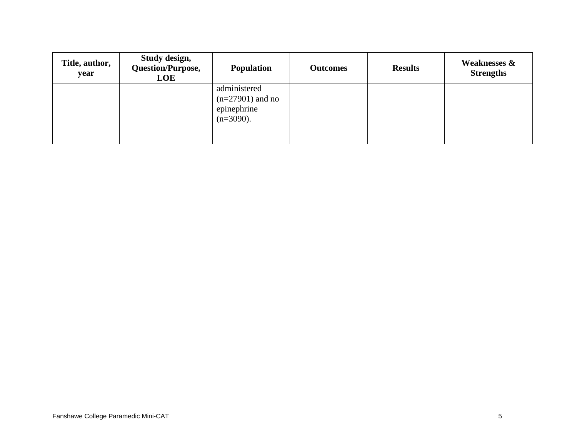| Title, author,<br>year | Study design,<br>Question/Purpose,<br>LOE | <b>Population</b>                                                 | <b>Outcomes</b> | <b>Results</b> | <b>Weaknesses &amp;</b><br><b>Strengths</b> |
|------------------------|-------------------------------------------|-------------------------------------------------------------------|-----------------|----------------|---------------------------------------------|
|                        |                                           | administered<br>$(n=27901)$ and no<br>epinephrine<br>$(n=3090)$ . |                 |                |                                             |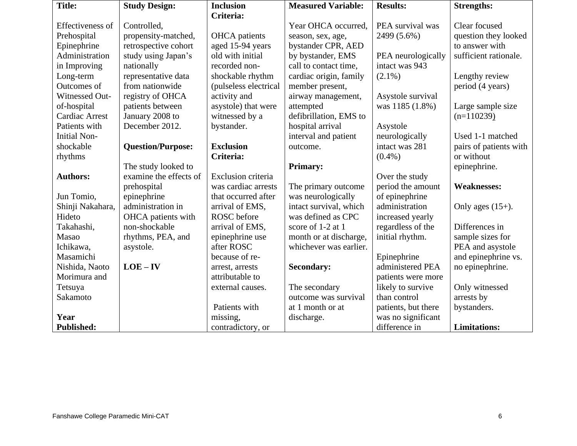| <b>Title:</b>           | <b>Study Design:</b>     | <b>Inclusion</b>      | <b>Measured Variable:</b> | <b>Results:</b>     | <b>Strengths:</b>      |
|-------------------------|--------------------------|-----------------------|---------------------------|---------------------|------------------------|
|                         |                          | Criteria:             |                           |                     |                        |
| <b>Effectiveness of</b> | Controlled,              |                       | Year OHCA occurred,       | PEA survival was    | Clear focused          |
| Prehospital             | propensity-matched,      | <b>OHCA</b> patients  | season, sex, age,         | 2499 (5.6%)         | question they looked   |
| Epinephrine             | retrospective cohort     | aged 15-94 years      | bystander CPR, AED        |                     | to answer with         |
| Administration          | study using Japan's      | old with initial      | by bystander, EMS         | PEA neurologically  | sufficient rationale.  |
| in Improving            | nationally               | recorded non-         | call to contact time,     | intact was 943      |                        |
| Long-term               | representative data      | shockable rhythm      | cardiac origin, family    | $(2.1\%)$           | Lengthy review         |
| Outcomes of             | from nationwide          | (pulseless electrical | member present,           |                     | period (4 years)       |
| Witnessed Out-          | registry of OHCA         | activity and          | airway management,        | Asystole survival   |                        |
| of-hospital             | patients between         | asystole) that were   | attempted                 | was 1185 (1.8%)     | Large sample size      |
| <b>Cardiac Arrest</b>   | January 2008 to          | witnessed by a        | defibrillation, EMS to    |                     | $(n=110239)$           |
| Patients with           | December 2012.           | bystander.            | hospital arrival          | Asystole            |                        |
| <b>Initial Non-</b>     |                          |                       | interval and patient      | neurologically      | Used 1-1 matched       |
| shockable               | <b>Question/Purpose:</b> | <b>Exclusion</b>      | outcome.                  | intact was 281      | pairs of patients with |
| rhythms                 |                          | Criteria:             |                           | $(0.4\%)$           | or without             |
|                         | The study looked to      |                       | <b>Primary:</b>           |                     | epinephrine.           |
| <b>Authors:</b>         | examine the effects of   | Exclusion criteria    |                           | Over the study      |                        |
|                         | prehospital              | was cardiac arrests   | The primary outcome       | period the amount   | <b>Weaknesses:</b>     |
| Jun Tomio,              | epinephrine              | that occurred after   | was neurologically        | of epinephrine      |                        |
| Shinji Nakahara,        | administration in        | arrival of EMS,       | intact survival, which    | administration      | Only ages $(15+)$ .    |
| Hideto                  | OHCA patients with       | ROSC before           | was defined as CPC        | increased yearly    |                        |
| Takahashi,              | non-shockable            | arrival of EMS,       | score of 1-2 at 1         | regardless of the   | Differences in         |
| Masao                   | rhythms, PEA, and        | epinephrine use       | month or at discharge,    | initial rhythm.     | sample sizes for       |
| Ichikawa,               | asystole.                | after ROSC            | whichever was earlier.    |                     | PEA and asystole       |
| Masamichi               |                          | because of re-        |                           | Epinephrine         | and epinephrine vs.    |
| Nishida, Naoto          | $LOE - IV$               | arrest, arrests       | <b>Secondary:</b>         | administered PEA    | no epinephrine.        |
| Morimura and            |                          | attributable to       |                           | patients were more  |                        |
| Tetsuya                 |                          | external causes.      | The secondary             | likely to survive   | Only witnessed         |
| Sakamoto                |                          |                       | outcome was survival      | than control        | arrests by             |
|                         |                          | Patients with         | at 1 month or at          | patients, but there | bystanders.            |
| Year                    |                          | missing,              | discharge.                | was no significant  |                        |
| <b>Published:</b>       |                          | contradictory, or     |                           | difference in       | <b>Limitations:</b>    |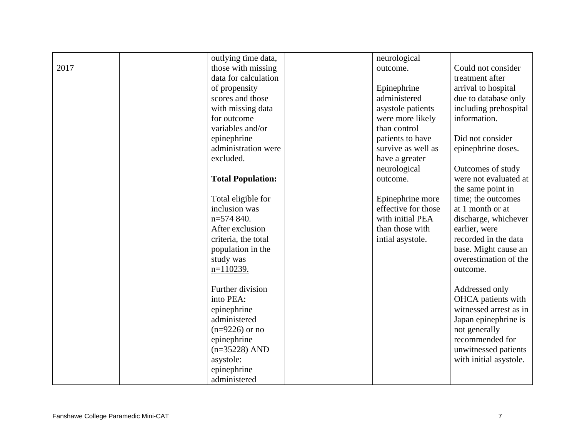|      | outlying time data,      | neurological        |                        |
|------|--------------------------|---------------------|------------------------|
| 2017 | those with missing       | outcome.            | Could not consider     |
|      | data for calculation     |                     | treatment after        |
|      | of propensity            | Epinephrine         | arrival to hospital    |
|      | scores and those         | administered        | due to database only   |
|      | with missing data        | asystole patients   | including prehospital  |
|      | for outcome              | were more likely    | information.           |
|      | variables and/or         | than control        |                        |
|      | epinephrine              | patients to have    | Did not consider       |
|      | administration were      | survive as well as  | epinephrine doses.     |
|      | excluded.                | have a greater      |                        |
|      |                          | neurological        | Outcomes of study      |
|      | <b>Total Population:</b> | outcome.            | were not evaluated at  |
|      |                          |                     | the same point in      |
|      | Total eligible for       | Epinephrine more    | time; the outcomes     |
|      | inclusion was            | effective for those | at 1 month or at       |
|      | n=574 840.               | with initial PEA    | discharge, whichever   |
|      | After exclusion          | than those with     | earlier, were          |
|      | criteria, the total      | intial asystole.    | recorded in the data   |
|      | population in the        |                     | base. Might cause an   |
|      | study was                |                     | overestimation of the  |
|      | $n=110239.$              |                     | outcome.               |
|      |                          |                     |                        |
|      | Further division         |                     | Addressed only         |
|      | into PEA:                |                     | OHCA patients with     |
|      | epinephrine              |                     | witnessed arrest as in |
|      | administered             |                     | Japan epinephrine is   |
|      | $(n=9226)$ or no         |                     | not generally          |
|      | epinephrine              |                     | recommended for        |
|      | $(n=35228)$ AND          |                     | unwitnessed patients   |
|      | asystole:                |                     | with initial asystole. |
|      | epinephrine              |                     |                        |
|      | administered             |                     |                        |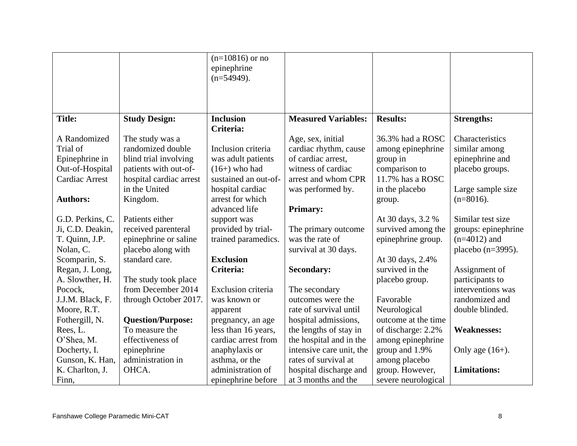|                       |                          | $(n=10816)$ or no<br>epinephrine |                            |                     |                      |
|-----------------------|--------------------------|----------------------------------|----------------------------|---------------------|----------------------|
|                       |                          | $(n=54949)$ .                    |                            |                     |                      |
|                       |                          |                                  |                            |                     |                      |
|                       |                          |                                  |                            |                     |                      |
| <b>Title:</b>         | <b>Study Design:</b>     | <b>Inclusion</b>                 | <b>Measured Variables:</b> | <b>Results:</b>     | <b>Strengths:</b>    |
|                       |                          | Criteria:                        |                            |                     |                      |
| A Randomized          | The study was a          |                                  | Age, sex, initial          | 36.3% had a ROSC    | Characteristics      |
| Trial of              | randomized double        | Inclusion criteria               | cardiac rhythm, cause      | among epinephrine   | similar among        |
| Epinephrine in        | blind trial involving    | was adult patients               | of cardiac arrest,         | group in            | epinephrine and      |
| Out-of-Hospital       | patients with out-of-    | $(16+)$ who had                  | witness of cardiac         | comparison to       | placebo groups.      |
| <b>Cardiac Arrest</b> | hospital cardiac arrest  | sustained an out-of-             | arrest and whom CPR        | 11.7% has a ROSC    |                      |
|                       | in the United            | hospital cardiac                 | was performed by.          | in the placebo      | Large sample size    |
| <b>Authors:</b>       | Kingdom.                 | arrest for which                 |                            | group.              | $(n=8016)$ .         |
|                       |                          | advanced life                    | <b>Primary:</b>            |                     |                      |
| G.D. Perkins, C.      | Patients either          | support was                      |                            | At 30 days, 3.2 %   | Similar test size    |
| Ji, C.D. Deakin,      | received parenteral      | provided by trial-               | The primary outcome        | survived among the  | groups: epinephrine  |
| T. Quinn, J.P.        | epinephrine or saline    | trained paramedics.              | was the rate of            | epinephrine group.  | $(n=4012)$ and       |
| Nolan, C.             | placebo along with       |                                  | survival at 30 days.       |                     | placebo $(n=3995)$ . |
| Scomparin, S.         | standard care.           | <b>Exclusion</b>                 |                            | At 30 days, 2.4%    |                      |
| Regan, J. Long,       |                          | Criteria:                        | <b>Secondary:</b>          | survived in the     | Assignment of        |
| A. Slowther, H.       | The study took place     |                                  |                            | placebo group.      | participants to      |
| Pocock,               | from December 2014       | Exclusion criteria               | The secondary              |                     | interventions was    |
| J.J.M. Black, F.      | through October 2017.    | was known or                     | outcomes were the          | Favorable           | randomized and       |
| Moore, R.T.           |                          | apparent                         | rate of survival until     | Neurological        | double blinded.      |
| Fothergill, N.        | <b>Question/Purpose:</b> | pregnancy, an age                | hospital admissions,       | outcome at the time |                      |
| Rees, L.              | To measure the           | less than 16 years,              | the lengths of stay in     | of discharge: 2.2%  | <b>Weaknesses:</b>   |
| O'Shea, M.            | effectiveness of         | cardiac arrest from              | the hospital and in the    | among epinephrine   |                      |
| Docherty, I.          | epinephrine              | anaphylaxis or                   | intensive care unit, the   | group and 1.9%      | Only age $(16+)$ .   |
| Gunson, K. Han,       | administration in        | asthma, or the                   | rates of survival at       | among placebo       |                      |
| K. Charlton, J.       | OHCA.                    | administration of                | hospital discharge and     | group. However,     | <b>Limitations:</b>  |
| Finn,                 |                          | epinephrine before               | at 3 months and the        | severe neurological |                      |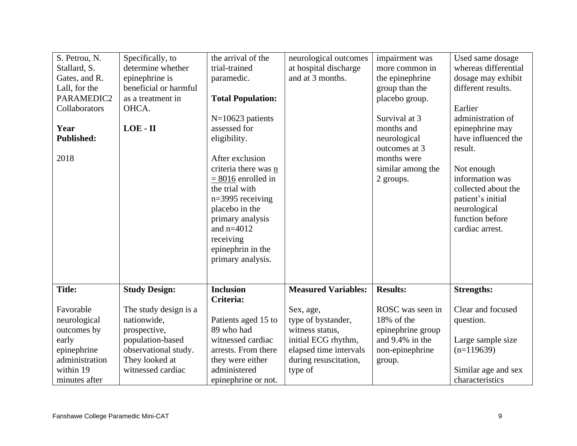| S. Petrou, N.<br>Stallard, S.<br>Gates, and R.<br>Lall, for the<br>PARAMEDIC2<br>Collaborators<br>Year<br><b>Published:</b><br>2018 | Specifically, to<br>determine whether<br>epinephrine is<br>beneficial or harmful<br>as a treatment in<br>OHCA.<br>LOE - II | the arrival of the<br>trial-trained<br>paramedic.<br><b>Total Population:</b><br>$N=10623$ patients<br>assessed for<br>eligibility.<br>After exclusion<br>criteria there was n<br>$= 8016$ enrolled in<br>the trial with<br>$n=3995$ receiving<br>placebo in the<br>primary analysis<br>and $n=4012$<br>receiving<br>epinephrin in the<br>primary analysis. | neurological outcomes<br>at hospital discharge<br>and at 3 months. | impairment was<br>more common in<br>the epinephrine<br>group than the<br>placebo group.<br>Survival at 3<br>months and<br>neurological<br>outcomes at 3<br>months were<br>similar among the<br>2 groups. | Used same dosage<br>whereas differential<br>dosage may exhibit<br>different results.<br>Earlier<br>administration of<br>epinephrine may<br>have influenced the<br>result.<br>Not enough<br>information was<br>collected about the<br>patient's initial<br>neurological<br>function before<br>cardiac arrest. |
|-------------------------------------------------------------------------------------------------------------------------------------|----------------------------------------------------------------------------------------------------------------------------|-------------------------------------------------------------------------------------------------------------------------------------------------------------------------------------------------------------------------------------------------------------------------------------------------------------------------------------------------------------|--------------------------------------------------------------------|----------------------------------------------------------------------------------------------------------------------------------------------------------------------------------------------------------|--------------------------------------------------------------------------------------------------------------------------------------------------------------------------------------------------------------------------------------------------------------------------------------------------------------|
| <b>Title:</b>                                                                                                                       | <b>Study Design:</b>                                                                                                       | <b>Inclusion</b><br>Criteria:                                                                                                                                                                                                                                                                                                                               | <b>Measured Variables:</b>                                         | <b>Results:</b>                                                                                                                                                                                          | <b>Strengths:</b>                                                                                                                                                                                                                                                                                            |
| Favorable                                                                                                                           | The study design is a                                                                                                      |                                                                                                                                                                                                                                                                                                                                                             | Sex, age,                                                          | ROSC was seen in                                                                                                                                                                                         | Clear and focused                                                                                                                                                                                                                                                                                            |
| neurological                                                                                                                        | nationwide,                                                                                                                | Patients aged 15 to                                                                                                                                                                                                                                                                                                                                         | type of bystander,                                                 | 18% of the                                                                                                                                                                                               | question.                                                                                                                                                                                                                                                                                                    |
| outcomes by                                                                                                                         | prospective,                                                                                                               | 89 who had                                                                                                                                                                                                                                                                                                                                                  | witness status,                                                    | epinephrine group                                                                                                                                                                                        |                                                                                                                                                                                                                                                                                                              |
| early                                                                                                                               | population-based                                                                                                           | witnessed cardiac                                                                                                                                                                                                                                                                                                                                           | initial ECG rhythm,                                                | and 9.4% in the                                                                                                                                                                                          | Large sample size                                                                                                                                                                                                                                                                                            |
| epinephrine                                                                                                                         | observational study.                                                                                                       | arrests. From there                                                                                                                                                                                                                                                                                                                                         | elapsed time intervals                                             | non-epinephrine                                                                                                                                                                                          | $(n=119639)$                                                                                                                                                                                                                                                                                                 |
| administration<br>within 19                                                                                                         | They looked at<br>witnessed cardiac                                                                                        | they were either<br>administered                                                                                                                                                                                                                                                                                                                            | during resuscitation,                                              | group.                                                                                                                                                                                                   |                                                                                                                                                                                                                                                                                                              |
| minutes after                                                                                                                       |                                                                                                                            |                                                                                                                                                                                                                                                                                                                                                             | type of                                                            |                                                                                                                                                                                                          | Similar age and sex<br>characteristics                                                                                                                                                                                                                                                                       |
|                                                                                                                                     |                                                                                                                            | epinephrine or not.                                                                                                                                                                                                                                                                                                                                         |                                                                    |                                                                                                                                                                                                          |                                                                                                                                                                                                                                                                                                              |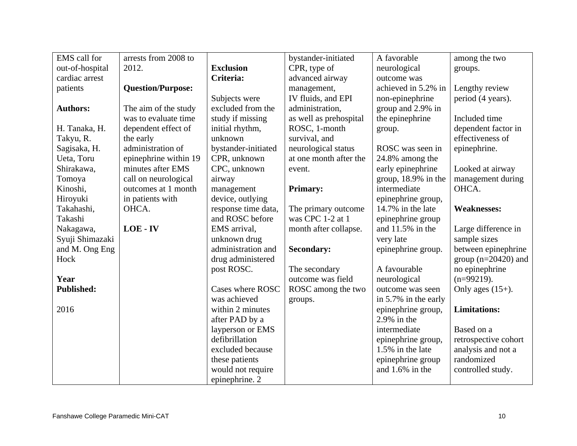| EMS call for      | arrests from 2008 to     |                     | bystander-initiated    | A favorable          | among the two         |
|-------------------|--------------------------|---------------------|------------------------|----------------------|-----------------------|
| out-of-hospital   | 2012.                    | <b>Exclusion</b>    | CPR, type of           | neurological         | groups.               |
| cardiac arrest    |                          | Criteria:           | advanced airway        | outcome was          |                       |
| patients          | <b>Question/Purpose:</b> |                     | management,            | achieved in 5.2% in  | Lengthy review        |
|                   |                          | Subjects were       | IV fluids, and EPI     | non-epinephrine      | period (4 years).     |
| <b>Authors:</b>   | The aim of the study     | excluded from the   | administration,        | group and 2.9% in    |                       |
|                   | was to evaluate time     | study if missing    | as well as prehospital | the epinephrine      | Included time         |
| H. Tanaka, H.     | dependent effect of      | initial rhythm,     | ROSC, 1-month          | group.               | dependent factor in   |
| Takyu, R.         | the early                | unknown             | survival, and          |                      | effectiveness of      |
| Sagisaka, H.      | administration of        | bystander-initiated | neurological status    | ROSC was seen in     | epinephrine.          |
| Ueta, Toru        | epinephrine within 19    | CPR, unknown        | at one month after the | 24.8% among the      |                       |
| Shirakawa,        | minutes after EMS        | CPC, unknown        | event.                 | early epinephrine    | Looked at airway      |
| Tomoya            | call on neurological     | airway              |                        | group, 18.9% in the  | management during     |
| Kinoshi,          | outcomes at 1 month      | management          | <b>Primary:</b>        | intermediate         | OHCA.                 |
| Hiroyuki          | in patients with         | device, outlying    |                        | epinephrine group,   |                       |
| Takahashi,        | OHCA.                    | response time data, | The primary outcome    | 14.7% in the late    | <b>Weaknesses:</b>    |
| Takashi           |                          | and ROSC before     | was CPC 1-2 at 1       | epinephrine group    |                       |
| Nakagawa,         | LOE - IV                 | EMS arrival,        | month after collapse.  | and $11.5\%$ in the  | Large difference in   |
| Syuji Shimazaki   |                          | unknown drug        |                        | very late            | sample sizes          |
| and M. Ong Eng    |                          | administration and  | <b>Secondary:</b>      | epinephrine group.   | between epinephrine   |
| Hock              |                          | drug administered   |                        |                      | group $(n=20420)$ and |
|                   |                          | post ROSC.          | The secondary          | A favourable         | no epinephrine        |
| Year              |                          |                     | outcome was field      | neurological         | $(n=99219)$ .         |
| <b>Published:</b> |                          | Cases where ROSC    | ROSC among the two     | outcome was seen     | Only ages $(15+)$ .   |
|                   |                          | was achieved        | groups.                | in 5.7% in the early |                       |
| 2016              |                          | within 2 minutes    |                        | epinephrine group,   | <b>Limitations:</b>   |
|                   |                          | after PAD by a      |                        | $2.9\%$ in the       |                       |
|                   |                          | layperson or EMS    |                        | intermediate         | Based on a            |
|                   |                          | defibrillation      |                        | epinephrine group,   | retrospective cohort  |
|                   |                          | excluded because    |                        | 1.5% in the late     | analysis and not a    |
|                   |                          | these patients      |                        | epinephrine group    | randomized            |
|                   |                          | would not require   |                        | and 1.6% in the      | controlled study.     |
|                   |                          | epinephrine. 2      |                        |                      |                       |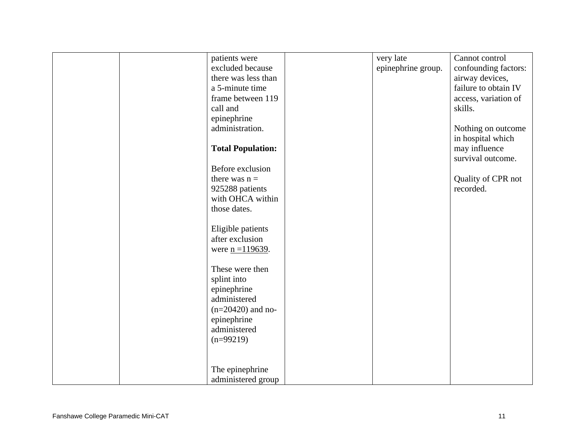|  | patients were            | very late          | Cannot control       |
|--|--------------------------|--------------------|----------------------|
|  | excluded because         | epinephrine group. | confounding factors: |
|  | there was less than      |                    | airway devices,      |
|  | a 5-minute time          |                    | failure to obtain IV |
|  | frame between 119        |                    | access, variation of |
|  | call and                 |                    | skills.              |
|  | epinephrine              |                    |                      |
|  | administration.          |                    | Nothing on outcome   |
|  |                          |                    | in hospital which    |
|  | <b>Total Population:</b> |                    | may influence        |
|  |                          |                    | survival outcome.    |
|  | Before exclusion         |                    |                      |
|  | there was $n =$          |                    | Quality of CPR not   |
|  | 925288 patients          |                    | recorded.            |
|  | with OHCA within         |                    |                      |
|  | those dates.             |                    |                      |
|  |                          |                    |                      |
|  | Eligible patients        |                    |                      |
|  | after exclusion          |                    |                      |
|  | were $n = 119639$ .      |                    |                      |
|  |                          |                    |                      |
|  | These were then          |                    |                      |
|  | splint into              |                    |                      |
|  | epinephrine              |                    |                      |
|  | administered             |                    |                      |
|  | $(n=20420)$ and no-      |                    |                      |
|  | epinephrine              |                    |                      |
|  | administered             |                    |                      |
|  | $(n=99219)$              |                    |                      |
|  |                          |                    |                      |
|  |                          |                    |                      |
|  | The epinephrine          |                    |                      |
|  | administered group       |                    |                      |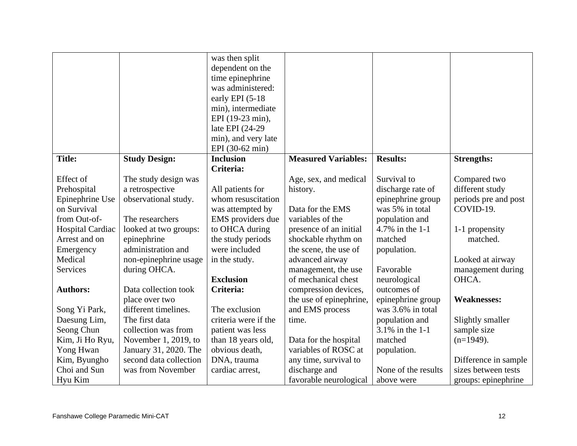|                  |                        | was then split                        |                            |                     |                      |
|------------------|------------------------|---------------------------------------|----------------------------|---------------------|----------------------|
|                  |                        | dependent on the                      |                            |                     |                      |
|                  |                        |                                       |                            |                     |                      |
|                  |                        | time epinephrine<br>was administered: |                            |                     |                      |
|                  |                        |                                       |                            |                     |                      |
|                  |                        | early EPI (5-18)                      |                            |                     |                      |
|                  |                        | min), intermediate                    |                            |                     |                      |
|                  |                        | EPI (19-23 min),                      |                            |                     |                      |
|                  |                        | late EPI (24-29)                      |                            |                     |                      |
|                  |                        | min), and very late                   |                            |                     |                      |
|                  |                        | EPI (30-62 min)                       |                            |                     |                      |
| <b>Title:</b>    | <b>Study Design:</b>   | <b>Inclusion</b>                      | <b>Measured Variables:</b> | <b>Results:</b>     | <b>Strengths:</b>    |
|                  |                        | Criteria:                             |                            |                     |                      |
| Effect of        | The study design was   |                                       | Age, sex, and medical      | Survival to         | Compared two         |
| Prehospital      | a retrospective        | All patients for                      | history.                   | discharge rate of   | different study      |
| Epinephrine Use  | observational study.   | whom resuscitation                    |                            | epinephrine group   | periods pre and post |
| on Survival      |                        | was attempted by                      | Data for the EMS           | was 5% in total     | COVID-19.            |
| from Out-of-     | The researchers        | EMS providers due                     | variables of the           | population and      |                      |
| Hospital Cardiac | looked at two groups:  | to OHCA during                        | presence of an initial     | 4.7% in the 1-1     | 1-1 propensity       |
| Arrest and on    | epinephrine            | the study periods                     | shockable rhythm on        | matched             | matched.             |
| Emergency        | administration and     | were included                         | the scene, the use of      | population.         |                      |
| Medical          | non-epinephrine usage  | in the study.                         | advanced airway            |                     | Looked at airway     |
| Services         | during OHCA.           |                                       | management, the use        | Favorable           | management during    |
|                  |                        | <b>Exclusion</b>                      | of mechanical chest        | neurological        | OHCA.                |
| <b>Authors:</b>  | Data collection took   | Criteria:                             | compression devices,       | outcomes of         |                      |
|                  | place over two         |                                       | the use of epinephrine,    | epinephrine group   | <b>Weaknesses:</b>   |
| Song Yi Park,    | different timelines.   | The exclusion                         | and EMS process            | was 3.6% in total   |                      |
| Daesung Lim,     | The first data         | criteria were if the                  | time.                      | population and      | Slightly smaller     |
| Seong Chun       | collection was from    | patient was less                      |                            | 3.1% in the 1-1     | sample size          |
| Kim, Ji Ho Ryu,  | November 1, 2019, to   | than 18 years old,                    | Data for the hospital      | matched             | $(n=1949)$ .         |
| Yong Hwan        | January 31, 2020. The  | obvious death,                        | variables of ROSC at       | population.         |                      |
| Kim, Byungho     | second data collection | DNA, trauma                           | any time, survival to      |                     | Difference in sample |
| Choi and Sun     | was from November      | cardiac arrest,                       | discharge and              | None of the results | sizes between tests  |
| Hyu Kim          |                        |                                       | favorable neurological     | above were          | groups: epinephrine  |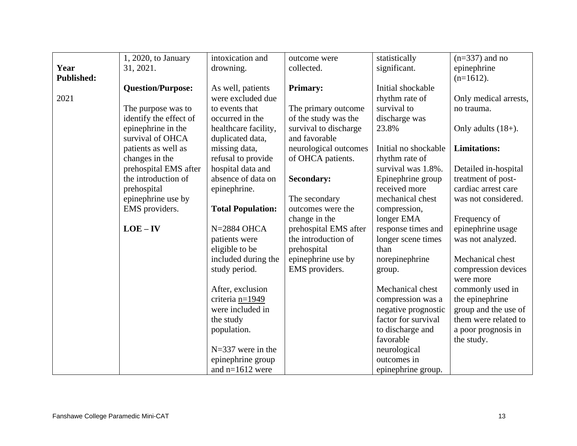|                   | 1, 2020, to January      | intoxication and         | outcome were          | statistically        | $(n=337)$ and no                 |
|-------------------|--------------------------|--------------------------|-----------------------|----------------------|----------------------------------|
| Year              | 31, 2021.                | drowning.                | collected.            | significant.         | epinephrine                      |
| <b>Published:</b> |                          |                          |                       |                      | $(n=1612)$ .                     |
|                   | <b>Question/Purpose:</b> | As well, patients        | <b>Primary:</b>       | Initial shockable    |                                  |
| 2021              |                          | were excluded due        |                       | rhythm rate of       | Only medical arrests,            |
|                   | The purpose was to       | to events that           | The primary outcome   | survival to          | no trauma.                       |
|                   | identify the effect of   | occurred in the          | of the study was the  | discharge was        |                                  |
|                   | epinephrine in the       | healthcare facility,     | survival to discharge | 23.8%                | Only adults $(18+)$ .            |
|                   | survival of OHCA         | duplicated data,         | and favorable         |                      |                                  |
|                   | patients as well as      | missing data,            | neurological outcomes | Initial no shockable | <b>Limitations:</b>              |
|                   | changes in the           | refusal to provide       | of OHCA patients.     | rhythm rate of       |                                  |
|                   | prehospital EMS after    | hospital data and        |                       | survival was 1.8%.   | Detailed in-hospital             |
|                   | the introduction of      | absence of data on       | <b>Secondary:</b>     | Epinephrine group    | treatment of post-               |
|                   | prehospital              | epinephrine.             |                       | received more        | cardiac arrest care              |
|                   | epinephrine use by       |                          | The secondary         | mechanical chest     | was not considered.              |
|                   | EMS providers.           | <b>Total Population:</b> | outcomes were the     | compression,         |                                  |
|                   |                          |                          | change in the         | longer EMA           | Frequency of                     |
|                   | $LOE - IV$               | $N=2884$ OHCA            | prehospital EMS after | response times and   | epinephrine usage                |
|                   |                          | patients were            | the introduction of   | longer scene times   | was not analyzed.                |
|                   |                          | eligible to be           | prehospital           | than                 |                                  |
|                   |                          | included during the      | epinephrine use by    | norepinephrine       | Mechanical chest                 |
|                   |                          | study period.            | EMS providers.        | group.               | compression devices<br>were more |
|                   |                          | After, exclusion         |                       | Mechanical chest     | commonly used in                 |
|                   |                          | criteria n=1949          |                       | compression was a    | the epinephrine                  |
|                   |                          | were included in         |                       | negative prognostic  | group and the use of             |
|                   |                          | the study                |                       | factor for survival  | them were related to             |
|                   |                          | population.              |                       | to discharge and     | a poor prognosis in              |
|                   |                          |                          |                       | favorable            | the study.                       |
|                   |                          | $N=337$ were in the      |                       | neurological         |                                  |
|                   |                          | epinephrine group        |                       | outcomes in          |                                  |
|                   |                          | and $n=1612$ were        |                       | epinephrine group.   |                                  |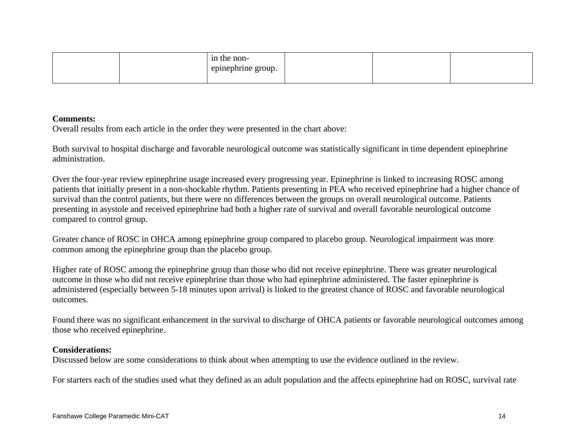|  | in the non-<br>the contract of the contract of the contract of the contract of the contract of the contract of the contract of<br>epinephrine group. |  |  |
|--|------------------------------------------------------------------------------------------------------------------------------------------------------|--|--|
|  |                                                                                                                                                      |  |  |

### **Comments:**

Overall results from each article in the order they were presented in the chart above:

Both survival to hospital discharge and favorable neurological outcome was statistically significant in time dependent epinephrine administration.

Over the four-year review epinephrine usage increased every progressing year. Epinephrine is linked to increasing ROSC among patients that initially present in a non-shockable rhythm. Patients presenting in PEA who received epinephrine had a higher chance of survival than the control patients, but there were no differences between the groups on overall neurological outcome. Patients presenting in asystole and received epinephrine had both a higher rate of survival and overall favorable neurological outcome compared to control group.

Greater chance of ROSC in OHCA among epinephrine group compared to placebo group. Neurological impairment was more common among the epinephrine group than the placebo group.

Higher rate of ROSC among the epinephrine group than those who did not receive epinephrine. There was greater neurological outcome in those who did not receive epinephrine than those who had epinephrine administered. The faster epinephrine is administered (especially between 5-18 minutes upon arrival) is linked to the greatest chance of ROSC and favorable neurological outcomes.

Found there was no significant enhancement in the survival to discharge of OHCA patients or favorable neurological outcomes among those who received epinephrine.

### **Considerations:**

Discussed below are some considerations to think about when attempting to use the evidence outlined in the review.

For starters each of the studies used what they defined as an adult population and the affects epinephrine had on ROSC, survival rate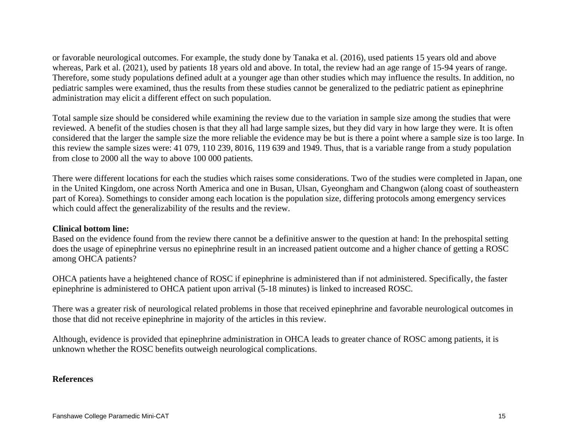or favorable neurological outcomes. For example, the study done by Tanaka et al. (2016), used patients 15 years old and above whereas, Park et al. (2021), used by patients 18 years old and above. In total, the review had an age range of 15-94 years of range. Therefore, some study populations defined adult at a younger age than other studies which may influence the results. In addition, no pediatric samples were examined, thus the results from these studies cannot be generalized to the pediatric patient as epinephrine administration may elicit a different effect on such population.

Total sample size should be considered while examining the review due to the variation in sample size among the studies that were reviewed. A benefit of the studies chosen is that they all had large sample sizes, but they did vary in how large they were. It is often considered that the larger the sample size the more reliable the evidence may be but is there a point where a sample size is too large. In this review the sample sizes were: 41 079, 110 239, 8016, 119 639 and 1949. Thus, that is a variable range from a study population from close to 2000 all the way to above 100 000 patients.

There were different locations for each the studies which raises some considerations. Two of the studies were completed in Japan, one in the United Kingdom, one across North America and one in Busan, Ulsan, Gyeongham and Changwon (along coast of southeastern part of Korea). Somethings to consider among each location is the population size, differing protocols among emergency services which could affect the generalizability of the results and the review.

## **Clinical bottom line:**

Based on the evidence found from the review there cannot be a definitive answer to the question at hand: In the prehospital setting does the usage of epinephrine versus no epinephrine result in an increased patient outcome and a higher chance of getting a ROSC among OHCA patients?

OHCA patients have a heightened chance of ROSC if epinephrine is administered than if not administered. Specifically, the faster epinephrine is administered to OHCA patient upon arrival (5-18 minutes) is linked to increased ROSC.

There was a greater risk of neurological related problems in those that received epinephrine and favorable neurological outcomes in those that did not receive epinephrine in majority of the articles in this review.

Although, evidence is provided that epinephrine administration in OHCA leads to greater chance of ROSC among patients, it is unknown whether the ROSC benefits outweigh neurological complications.

## **References**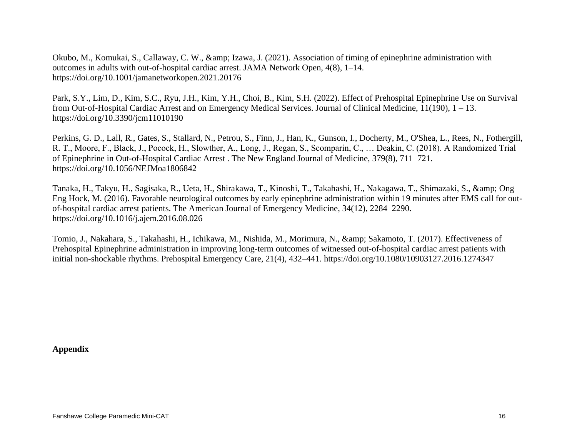Okubo, M., Komukai, S., Callaway, C. W., & amp; Izawa, J. (2021). Association of timing of epinephrine administration with outcomes in adults with out-of-hospital cardiac arrest. JAMA Network Open, 4(8), 1–14. https://doi.org/10.1001/jamanetworkopen.2021.20176

Park, S.Y., Lim, D., Kim, S.C., Ryu, J.H., Kim, Y.H., Choi, B., Kim, S.H. (2022). Effect of Prehospital Epinephrine Use on Survival from Out-of-Hospital Cardiac Arrest and on Emergency Medical Services. Journal of Clinical Medicine, 11(190), 1 – 13. https://doi.org/10.3390/jcm11010190

Perkins, G. D., Lall, R., Gates, S., Stallard, N., Petrou, S., Finn, J., Han, K., Gunson, I., Docherty, M., O'Shea, L., Rees, N., Fothergill, R. T., Moore, F., Black, J., Pocock, H., Slowther, A., Long, J., Regan, S., Scomparin, C., … Deakin, C. (2018). A Randomized Trial of Epinephrine in Out-of-Hospital Cardiac Arrest . The New England Journal of Medicine, 379(8), 711–721. https://doi.org/10.1056/NEJMoa1806842

Tanaka, H., Takyu, H., Sagisaka, R., Ueta, H., Shirakawa, T., Kinoshi, T., Takahashi, H., Nakagawa, T., Shimazaki, S., & Ong Eng Hock, M. (2016). Favorable neurological outcomes by early epinephrine administration within 19 minutes after EMS call for outof-hospital cardiac arrest patients. The American Journal of Emergency Medicine, 34(12), 2284–2290. https://doi.org/10.1016/j.ajem.2016.08.026

Tomio, J., Nakahara, S., Takahashi, H., Ichikawa, M., Nishida, M., Morimura, N., & amp; Sakamoto, T. (2017). Effectiveness of Prehospital Epinephrine administration in improving long-term outcomes of witnessed out-of-hospital cardiac arrest patients with initial non-shockable rhythms. Prehospital Emergency Care, 21(4), 432–441. https://doi.org/10.1080/10903127.2016.1274347

**Appendix**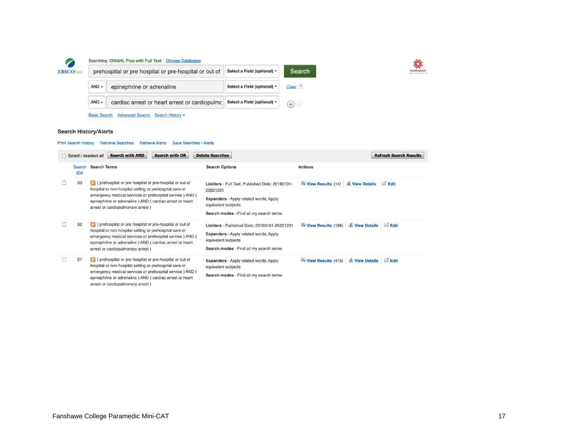

#### Searching: CINAHL Plus with Full Text | Choose Databases

| prehospital or pre hospital or pre-hospital or out of |                                               | Select a Field (optional) $\sim$ | Search               |
|-------------------------------------------------------|-----------------------------------------------|----------------------------------|----------------------|
| $AND -$                                               | epinephrine or adrenaline                     | Select a Field (optional) $\sim$ | Clear <sup>(?)</sup> |
| $AND -$                                               | cardiac arrest or heart arrest or cardiopulmo | Select a Field (optional) $\sim$ |                      |
|                                                       |                                               |                                  |                      |

Basic Search Advanced Search Search History

#### **Search History/Alerts**

#### Print Search History Retrieve Searches Retrieve Alerts Save Searches / Alerts

| Select / deselect all |                      | <b>Search with AND</b><br><b>Search with OR</b>                                                                                                                                                                                                                                  | <b>Delete Searches</b>                                                                                                                                                         | <b>Refresh Search Results</b>                                             |
|-----------------------|----------------------|----------------------------------------------------------------------------------------------------------------------------------------------------------------------------------------------------------------------------------------------------------------------------------|--------------------------------------------------------------------------------------------------------------------------------------------------------------------------------|---------------------------------------------------------------------------|
|                       | <b>Search</b><br>ID# | <b>Search Terms</b>                                                                                                                                                                                                                                                              | <b>Search Options</b>                                                                                                                                                          | <b>Actions</b>                                                            |
|                       | S <sub>3</sub>       | o (prehospital or pre hospital or pre-hospital or out of<br>hospital or non hospital setting or prehospital care or<br>emergency medical services or prehospital service) AND (<br>epinephrine or adrenaline ) AND (cardiac arrest or heart<br>arrest or cardiopulmonary arrest) | Limiters - Full Text; Published Date: 20160101-<br>20221231<br><b>Expanders</b> - Apply related words; Apply<br>equivalent subjects<br>Search modes - Find all my search terms | View Results (14) <i>U</i> iew Details<br>$\blacksquare$ Edit             |
|                       | S <sub>2</sub>       | o (prehospital or pre hospital or pre-hospital or out of<br>hospital or non hospital setting or prehospital care or<br>emergency medical services or prehospital service) AND (<br>epinephrine or adrenaline ) AND (cardiac arrest or heart<br>arrest or cardiopulmonary arrest) | Limiters - Published Date: 20160101-20221231<br><b>Expanders</b> - Apply related words; Apply<br>equivalent subjects<br>Search modes - Find all my search terms                | <i><b>i</b></i> View Details<br>$\blacksquare$ Edit<br>View Results (198) |
|                       | S <sub>1</sub>       | o (prehospital or pre hospital or pre-hospital or out of<br>hospital or non hospital setting or prehospital care or<br>emergency medical services or prehospital service) AND (<br>epinephrine or adrenaline ) AND (cardiac arrest or heart<br>arrest or cardiopulmonary arrest) | <b>Expanders</b> - Apply related words; Apply<br>equivalent subjects<br>Search modes - Find all my search terms                                                                | $\blacksquare$ Edit<br>View Results (419) <i>i</i> View Details           |

**EANSHAWE**